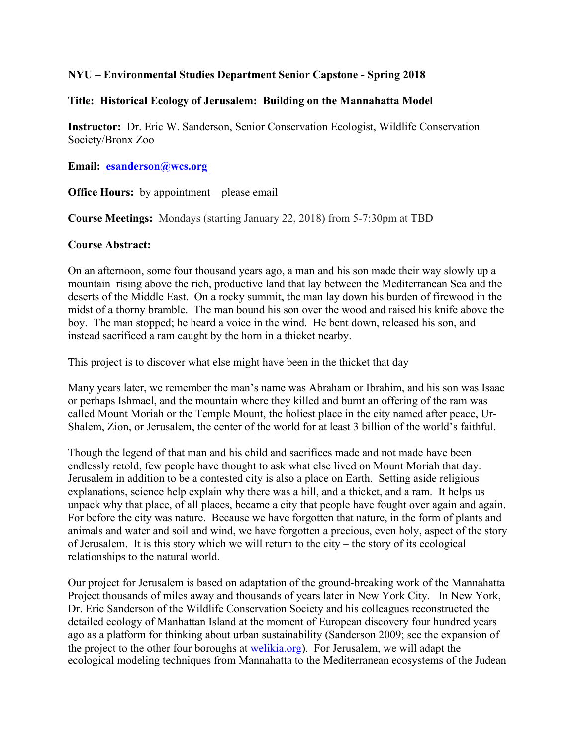## **NYU – Environmental Studies Department Senior Capstone - Spring 2018**

### **Title: Historical Ecology of Jerusalem: Building on the Mannahatta Model**

**Instructor:** Dr. Eric W. Sanderson, Senior Conservation Ecologist, Wildlife Conservation Society/Bronx Zoo

### **Email: esanderson@wcs.org**

**Office Hours:** by appointment – please email

**Course Meetings:** Mondays (starting January 22, 2018) from 5-7:30pm at TBD

#### **Course Abstract:**

On an afternoon, some four thousand years ago, a man and his son made their way slowly up a mountain rising above the rich, productive land that lay between the Mediterranean Sea and the deserts of the Middle East. On a rocky summit, the man lay down his burden of firewood in the midst of a thorny bramble. The man bound his son over the wood and raised his knife above the boy. The man stopped; he heard a voice in the wind. He bent down, released his son, and instead sacrificed a ram caught by the horn in a thicket nearby.

This project is to discover what else might have been in the thicket that day

Many years later, we remember the man's name was Abraham or Ibrahim, and his son was Isaac or perhaps Ishmael, and the mountain where they killed and burnt an offering of the ram was called Mount Moriah or the Temple Mount, the holiest place in the city named after peace, Ur-Shalem, Zion, or Jerusalem, the center of the world for at least 3 billion of the world's faithful.

Though the legend of that man and his child and sacrifices made and not made have been endlessly retold, few people have thought to ask what else lived on Mount Moriah that day. Jerusalem in addition to be a contested city is also a place on Earth. Setting aside religious explanations, science help explain why there was a hill, and a thicket, and a ram. It helps us unpack why that place, of all places, became a city that people have fought over again and again. For before the city was nature. Because we have forgotten that nature, in the form of plants and animals and water and soil and wind, we have forgotten a precious, even holy, aspect of the story of Jerusalem. It is this story which we will return to the city – the story of its ecological relationships to the natural world.

Our project for Jerusalem is based on adaptation of the ground-breaking work of the Mannahatta Project thousands of miles away and thousands of years later in New York City. In New York, Dr. Eric Sanderson of the Wildlife Conservation Society and his colleagues reconstructed the detailed ecology of Manhattan Island at the moment of European discovery four hundred years ago as a platform for thinking about urban sustainability (Sanderson 2009; see the expansion of the project to the other four boroughs at welikia.org). For Jerusalem, we will adapt the ecological modeling techniques from Mannahatta to the Mediterranean ecosystems of the Judean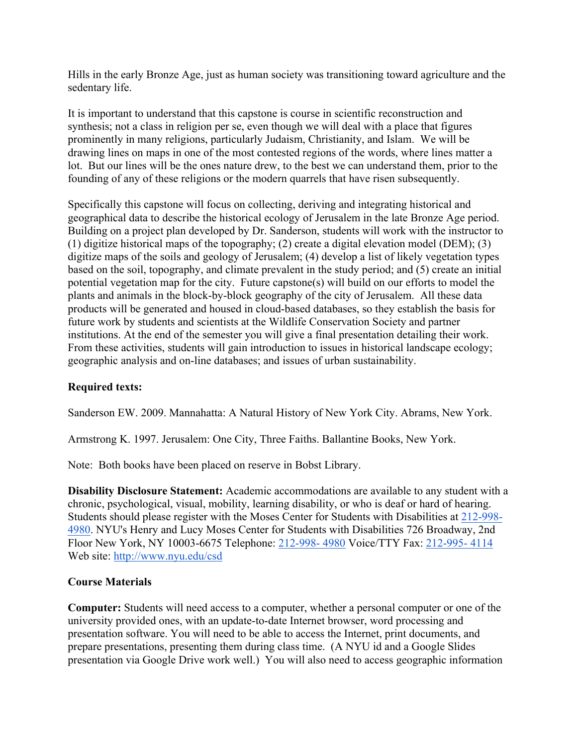Hills in the early Bronze Age, just as human society was transitioning toward agriculture and the sedentary life.

It is important to understand that this capstone is course in scientific reconstruction and synthesis; not a class in religion per se, even though we will deal with a place that figures prominently in many religions, particularly Judaism, Christianity, and Islam. We will be drawing lines on maps in one of the most contested regions of the words, where lines matter a lot. But our lines will be the ones nature drew, to the best we can understand them, prior to the founding of any of these religions or the modern quarrels that have risen subsequently.

Specifically this capstone will focus on collecting, deriving and integrating historical and geographical data to describe the historical ecology of Jerusalem in the late Bronze Age period. Building on a project plan developed by Dr. Sanderson, students will work with the instructor to (1) digitize historical maps of the topography; (2) create a digital elevation model (DEM); (3) digitize maps of the soils and geology of Jerusalem; (4) develop a list of likely vegetation types based on the soil, topography, and climate prevalent in the study period; and (5) create an initial potential vegetation map for the city. Future capstone(s) will build on our efforts to model the plants and animals in the block-by-block geography of the city of Jerusalem. All these data products will be generated and housed in cloud-based databases, so they establish the basis for future work by students and scientists at the Wildlife Conservation Society and partner institutions. At the end of the semester you will give a final presentation detailing their work. From these activities, students will gain introduction to issues in historical landscape ecology; geographic analysis and on-line databases; and issues of urban sustainability.

## **Required texts:**

Sanderson EW. 2009. Mannahatta: A Natural History of New York City. Abrams, New York.

Armstrong K. 1997. Jerusalem: One City, Three Faiths. Ballantine Books, New York.

Note: Both books have been placed on reserve in Bobst Library.

**Disability Disclosure Statement:** Academic accommodations are available to any student with a chronic, psychological, visual, mobility, learning disability, or who is deaf or hard of hearing. Students should please register with the Moses Center for Students with Disabilities at 212-998- 4980. NYU's Henry and Lucy Moses Center for Students with Disabilities 726 Broadway, 2nd Floor New York, NY 10003-6675 Telephone: 212-998- 4980 Voice/TTY Fax: 212-995- 4114 Web site: http://www.nyu.edu/csd

## **Course Materials**

**Computer:** Students will need access to a computer, whether a personal computer or one of the university provided ones, with an update-to-date Internet browser, word processing and presentation software. You will need to be able to access the Internet, print documents, and prepare presentations, presenting them during class time. (A NYU id and a Google Slides presentation via Google Drive work well.) You will also need to access geographic information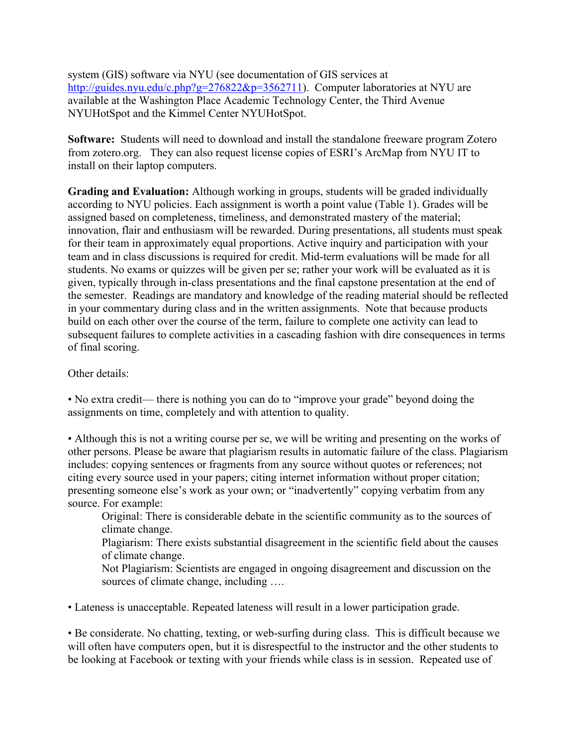system (GIS) software via NYU (see documentation of GIS services at http://guides.nyu.edu/c.php?g=276822&p=3562711). Computer laboratories at NYU are available at the Washington Place Academic Technology Center, the Third Avenue NYUHotSpot and the Kimmel Center NYUHotSpot.

**Software:** Students will need to download and install the standalone freeware program Zotero from zotero.org. They can also request license copies of ESRI's ArcMap from NYU IT to install on their laptop computers.

**Grading and Evaluation:** Although working in groups, students will be graded individually according to NYU policies. Each assignment is worth a point value (Table 1). Grades will be assigned based on completeness, timeliness, and demonstrated mastery of the material; innovation, flair and enthusiasm will be rewarded. During presentations, all students must speak for their team in approximately equal proportions. Active inquiry and participation with your team and in class discussions is required for credit. Mid-term evaluations will be made for all students. No exams or quizzes will be given per se; rather your work will be evaluated as it is given, typically through in-class presentations and the final capstone presentation at the end of the semester. Readings are mandatory and knowledge of the reading material should be reflected in your commentary during class and in the written assignments. Note that because products build on each other over the course of the term, failure to complete one activity can lead to subsequent failures to complete activities in a cascading fashion with dire consequences in terms of final scoring.

Other details:

• No extra credit— there is nothing you can do to "improve your grade" beyond doing the assignments on time, completely and with attention to quality.

• Although this is not a writing course per se, we will be writing and presenting on the works of other persons. Please be aware that plagiarism results in automatic failure of the class. Plagiarism includes: copying sentences or fragments from any source without quotes or references; not citing every source used in your papers; citing internet information without proper citation; presenting someone else's work as your own; or "inadvertently" copying verbatim from any source. For example:

Original: There is considerable debate in the scientific community as to the sources of climate change.

Plagiarism: There exists substantial disagreement in the scientific field about the causes of climate change.

Not Plagiarism: Scientists are engaged in ongoing disagreement and discussion on the sources of climate change, including ....

• Lateness is unacceptable. Repeated lateness will result in a lower participation grade.

• Be considerate. No chatting, texting, or web-surfing during class. This is difficult because we will often have computers open, but it is disrespectful to the instructor and the other students to be looking at Facebook or texting with your friends while class is in session. Repeated use of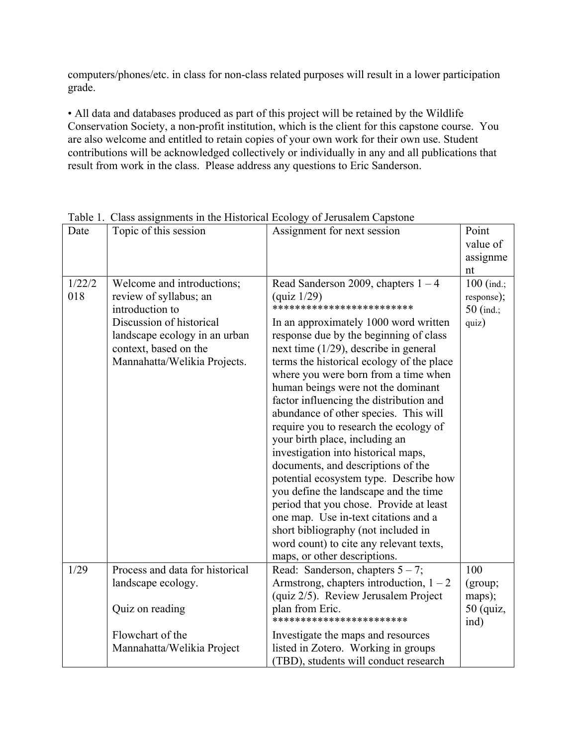computers/phones/etc. in class for non-class related purposes will result in a lower participation grade.

• All data and databases produced as part of this project will be retained by the Wildlife Conservation Society, a non-profit institution, which is the client for this capstone course. You are also welcome and entitled to retain copies of your own work for their own use. Student contributions will be acknowledged collectively or individually in any and all publications that result from work in the class. Please address any questions to Eric Sanderson.

|        | Table 1. Class assignments in the Historical Ecology of Jerusalem Capsione |                                           | Point        |
|--------|----------------------------------------------------------------------------|-------------------------------------------|--------------|
| Date   | Topic of this session                                                      | Assignment for next session               |              |
|        |                                                                            |                                           | value of     |
|        |                                                                            |                                           | assignme     |
|        |                                                                            |                                           | nt           |
| 1/22/2 | Welcome and introductions;                                                 | Read Sanderson 2009, chapters $1 - 4$     | $100$ (ind.; |
| 018    | review of syllabus; an                                                     | quiz 1/29                                 | response);   |
|        | introduction to                                                            | **************************                | $50$ (ind.;  |
|        | Discussion of historical                                                   | In an approximately 1000 word written     | quiz)        |
|        | landscape ecology in an urban                                              | response due by the beginning of class    |              |
|        | context, based on the                                                      | next time $(1/29)$ , describe in general  |              |
|        | Mannahatta/Welikia Projects.                                               | terms the historical ecology of the place |              |
|        |                                                                            | where you were born from a time when      |              |
|        |                                                                            | human beings were not the dominant        |              |
|        |                                                                            | factor influencing the distribution and   |              |
|        |                                                                            | abundance of other species. This will     |              |
|        |                                                                            | require you to research the ecology of    |              |
|        |                                                                            | your birth place, including an            |              |
|        |                                                                            | investigation into historical maps,       |              |
|        |                                                                            | documents, and descriptions of the        |              |
|        |                                                                            | potential ecosystem type. Describe how    |              |
|        |                                                                            | you define the landscape and the time     |              |
|        |                                                                            | period that you chose. Provide at least   |              |
|        |                                                                            | one map. Use in-text citations and a      |              |
|        |                                                                            | short bibliography (not included in       |              |
|        |                                                                            | word count) to cite any relevant texts,   |              |
|        |                                                                            | maps, or other descriptions.              |              |
| 1/29   | Process and data for historical                                            | Read: Sanderson, chapters $5 - 7$ ;       | 100          |
|        | landscape ecology.                                                         | Armstrong, chapters introduction, $1 - 2$ | (group;      |
|        |                                                                            | (quiz 2/5). Review Jerusalem Project      | maps);       |
|        | Quiz on reading                                                            | plan from Eric.                           | $50$ (quiz,  |
|        |                                                                            | ************************                  | ind)         |
|        | Flowchart of the                                                           | Investigate the maps and resources        |              |
|        | Mannahatta/Welikia Project                                                 | listed in Zotero. Working in groups       |              |
|        |                                                                            | (TBD), students will conduct research     |              |

Table 1. Class assignments in the Historical Ecology of Jerusalem Capstone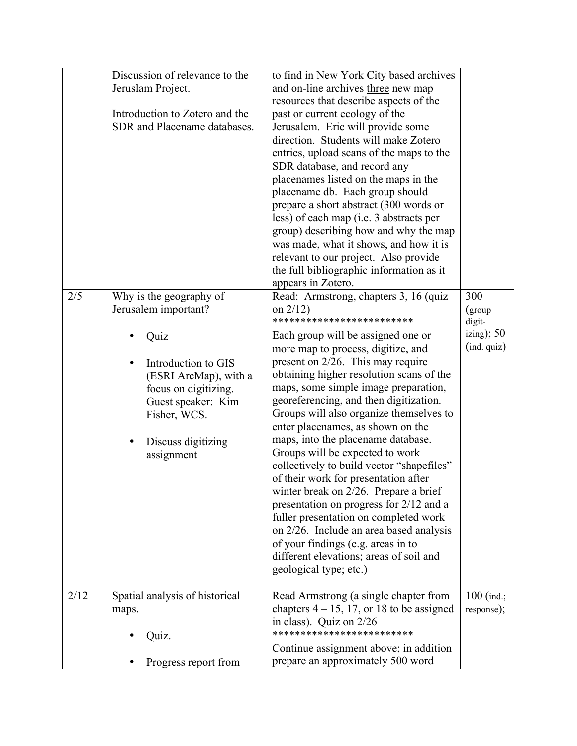|      | Discussion of relevance to the<br>Jeruslam Project.<br>Introduction to Zotero and the<br>SDR and Placename databases.                          | to find in New York City based archives<br>and on-line archives three new map<br>resources that describe aspects of the<br>past or current ecology of the<br>Jerusalem. Eric will provide some<br>direction. Students will make Zotero<br>entries, upload scans of the maps to the<br>SDR database, and record any<br>placenames listed on the maps in the<br>placename db. Each group should<br>prepare a short abstract (300 words or<br>less) of each map (i.e. 3 abstracts per<br>group) describing how and why the map<br>was made, what it shows, and how it is<br>relevant to our project. Also provide                                                                                                                         |                                         |
|------|------------------------------------------------------------------------------------------------------------------------------------------------|----------------------------------------------------------------------------------------------------------------------------------------------------------------------------------------------------------------------------------------------------------------------------------------------------------------------------------------------------------------------------------------------------------------------------------------------------------------------------------------------------------------------------------------------------------------------------------------------------------------------------------------------------------------------------------------------------------------------------------------|-----------------------------------------|
| 2/5  | Why is the geography of<br>Jerusalem important?<br>Quiz                                                                                        | the full bibliographic information as it<br>appears in Zotero.<br>Read: Armstrong, chapters 3, 16 (quiz<br>on $2/12$ )<br>*************************<br>Each group will be assigned one or                                                                                                                                                                                                                                                                                                                                                                                                                                                                                                                                              | 300<br>(group<br>digit-<br>izing); $50$ |
|      | Introduction to GIS<br>(ESRI ArcMap), with a<br>focus on digitizing.<br>Guest speaker: Kim<br>Fisher, WCS.<br>Discuss digitizing<br>assignment | more map to process, digitize, and<br>present on 2/26. This may require<br>obtaining higher resolution scans of the<br>maps, some simple image preparation,<br>georeferencing, and then digitization.<br>Groups will also organize themselves to<br>enter placenames, as shown on the<br>maps, into the placename database.<br>Groups will be expected to work<br>collectively to build vector "shapefiles"<br>of their work for presentation after<br>winter break on 2/26. Prepare a brief<br>presentation on progress for 2/12 and a<br>fuller presentation on completed work<br>on 2/26. Include an area based analysis<br>of your findings (e.g. areas in to<br>different elevations; areas of soil and<br>geological type; etc.) | $(ind. quiz))$                          |
| 2/12 | Spatial analysis of historical<br>maps.<br>Quiz.                                                                                               | Read Armstrong (a single chapter from<br>chapters $4 - 15$ , 17, or 18 to be assigned<br>in class). Quiz on $2/26$<br>*************************                                                                                                                                                                                                                                                                                                                                                                                                                                                                                                                                                                                        | $100$ (ind.;<br>response);              |
|      | Progress report from                                                                                                                           | Continue assignment above; in addition<br>prepare an approximately 500 word                                                                                                                                                                                                                                                                                                                                                                                                                                                                                                                                                                                                                                                            |                                         |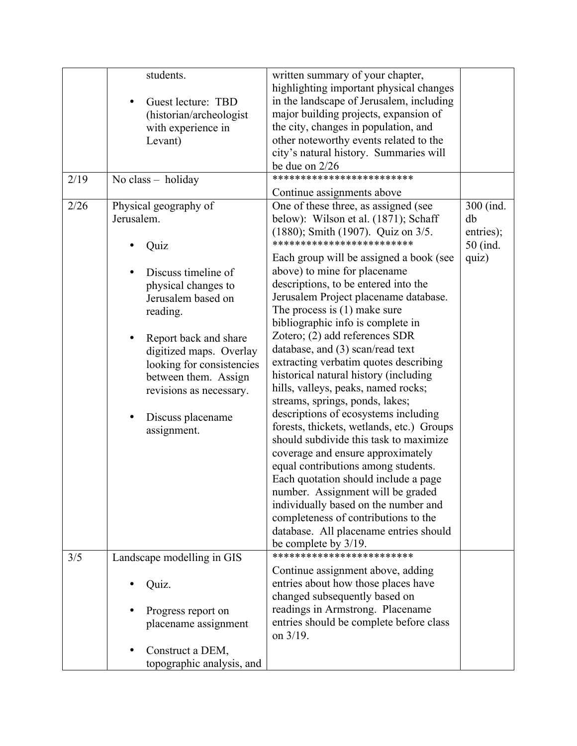|      | students.                  |                           | written summary of your chapter,<br>highlighting important physical changes |           |
|------|----------------------------|---------------------------|-----------------------------------------------------------------------------|-----------|
|      | ٠                          | Guest lecture: TBD        | in the landscape of Jerusalem, including                                    |           |
|      |                            | (historian/archeologist   | major building projects, expansion of                                       |           |
|      |                            | with experience in        | the city, changes in population, and                                        |           |
|      |                            | Levant)                   | other noteworthy events related to the                                      |           |
|      |                            |                           | city's natural history. Summaries will                                      |           |
|      |                            |                           | be due on $2/26$<br>*************************                               |           |
| 2/19 |                            | No class - holiday        | Continue assignments above                                                  |           |
| 2/26 | Physical geography of      |                           | One of these three, as assigned (see                                        | 300 (ind. |
|      | Jerusalem.                 |                           | below): Wilson et al. (1871); Schaff                                        | db        |
|      |                            |                           | $(1880)$ ; Smith $(1907)$ . Quiz on $3/5$ .                                 | entries); |
|      |                            | Quiz                      | *************************                                                   | 50 (ind.  |
|      |                            |                           | Each group will be assigned a book (see                                     | quiz)     |
|      |                            | Discuss timeline of       | above) to mine for placename                                                |           |
|      |                            | physical changes to       | descriptions, to be entered into the                                        |           |
|      |                            | Jerusalem based on        | Jerusalem Project placename database.                                       |           |
|      |                            | reading.                  | The process is $(1)$ make sure                                              |           |
|      |                            |                           | bibliographic info is complete in                                           |           |
|      |                            | Report back and share     | Zotero; (2) add references SDR                                              |           |
|      |                            | digitized maps. Overlay   | database, and (3) scan/read text                                            |           |
|      |                            | looking for consistencies | extracting verbatim quotes describing                                       |           |
|      |                            | between them. Assign      | historical natural history (including                                       |           |
|      |                            | revisions as necessary.   | hills, valleys, peaks, named rocks;<br>streams, springs, ponds, lakes;      |           |
|      |                            |                           | descriptions of ecosystems including                                        |           |
|      |                            | Discuss placename         | forests, thickets, wetlands, etc.) Groups                                   |           |
|      |                            | assignment.               | should subdivide this task to maximize                                      |           |
|      |                            |                           | coverage and ensure approximately                                           |           |
|      |                            |                           | equal contributions among students.                                         |           |
|      |                            |                           | Each quotation should include a page                                        |           |
|      |                            |                           | number. Assignment will be graded                                           |           |
|      |                            |                           | individually based on the number and                                        |           |
|      |                            |                           | completeness of contributions to the                                        |           |
|      |                            |                           | database. All placename entries should                                      |           |
|      |                            |                           | be complete by 3/19.                                                        |           |
| 3/5  | Landscape modelling in GIS |                           | *************************                                                   |           |
|      |                            |                           | Continue assignment above, adding                                           |           |
|      |                            | Quiz.                     | entries about how those places have                                         |           |
|      |                            |                           | changed subsequently based on                                               |           |
|      |                            | Progress report on        | readings in Armstrong. Placename                                            |           |
|      |                            | placename assignment      | entries should be complete before class<br>on $3/19$ .                      |           |
|      |                            |                           |                                                                             |           |
|      |                            | Construct a DEM,          |                                                                             |           |
|      |                            | topographic analysis, and |                                                                             |           |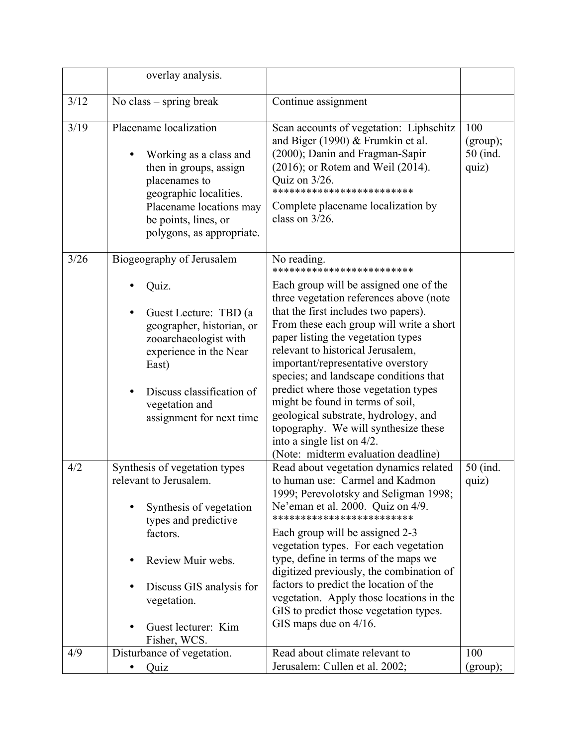|      | overlay analysis.                                                                                                                                                                                                               |                                                                                                                                                                                                                                                                                                                                                                                                                                                                                                                                                                                                                 |                                      |
|------|---------------------------------------------------------------------------------------------------------------------------------------------------------------------------------------------------------------------------------|-----------------------------------------------------------------------------------------------------------------------------------------------------------------------------------------------------------------------------------------------------------------------------------------------------------------------------------------------------------------------------------------------------------------------------------------------------------------------------------------------------------------------------------------------------------------------------------------------------------------|--------------------------------------|
| 3/12 | No class – spring break                                                                                                                                                                                                         | Continue assignment                                                                                                                                                                                                                                                                                                                                                                                                                                                                                                                                                                                             |                                      |
| 3/19 | Placename localization<br>Working as a class and<br>then in groups, assign<br>placenames to<br>geographic localities.<br>Placename locations may<br>be points, lines, or<br>polygons, as appropriate.                           | Scan accounts of vegetation: Liphschitz<br>and Biger (1990) & Frumkin et al.<br>(2000); Danin and Fragman-Sapir<br>$(2016)$ ; or Rotem and Weil $(2014)$ .<br>Quiz on 3/26.<br>*************************<br>Complete placename localization by<br>class on $3/26$ .                                                                                                                                                                                                                                                                                                                                             | 100<br>(group);<br>50 (ind.<br>quiz) |
| 3/26 | Biogeography of Jerusalem<br>Quiz.<br>Guest Lecture: TBD (a<br>geographer, historian, or<br>zooarchaeologist with<br>experience in the Near<br>East)<br>Discuss classification of<br>vegetation and<br>assignment for next time | No reading.<br>************************<br>Each group will be assigned one of the<br>three vegetation references above (note<br>that the first includes two papers).<br>From these each group will write a short<br>paper listing the vegetation types<br>relevant to historical Jerusalem,<br>important/representative overstory<br>species; and landscape conditions that<br>predict where those vegetation types<br>might be found in terms of soil,<br>geological substrate, hydrology, and<br>topography. We will synthesize these<br>into a single list on $4/2$ .<br>(Note: midterm evaluation deadline) |                                      |
| 4/2  | Synthesis of vegetation types<br>relevant to Jerusalem.<br>Synthesis of vegetation<br>types and predictive<br>factors.<br>Review Muir webs.<br>Discuss GIS analysis for<br>vegetation.<br>Guest lecturer: Kim<br>Fisher, WCS.   | Read about vegetation dynamics related<br>to human use: Carmel and Kadmon<br>1999; Perevolotsky and Seligman 1998;<br>Ne'eman et al. 2000. Quiz on 4/9.<br>*************************<br>Each group will be assigned 2-3<br>vegetation types. For each vegetation<br>type, define in terms of the maps we<br>digitized previously, the combination of<br>factors to predict the location of the<br>vegetation. Apply those locations in the<br>GIS to predict those vegetation types.<br>GIS maps due on 4/16.                                                                                                   | 50 (ind.<br>quiz)                    |
| 4/9  | Disturbance of vegetation.<br>Quiz                                                                                                                                                                                              | Read about climate relevant to<br>Jerusalem: Cullen et al. 2002;                                                                                                                                                                                                                                                                                                                                                                                                                                                                                                                                                | 100<br>(group);                      |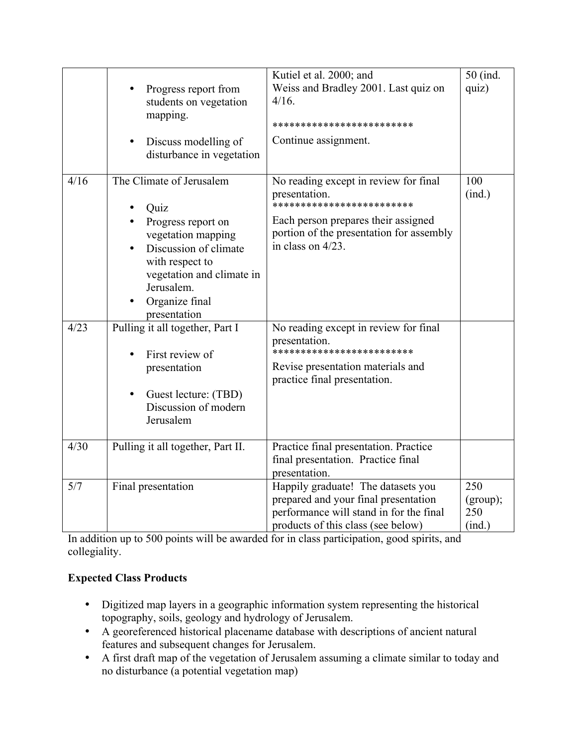|      |                                   |                                                   | Kutiel et al. 2000; and                                                         | 50 (ind.        |
|------|-----------------------------------|---------------------------------------------------|---------------------------------------------------------------------------------|-----------------|
|      |                                   | Progress report from                              | Weiss and Bradley 2001. Last quiz on                                            | quiz)           |
|      |                                   | students on vegetation                            | 4/16.                                                                           |                 |
|      |                                   | mapping.                                          | *************************                                                       |                 |
|      | $\bullet$                         | Discuss modelling of<br>disturbance in vegetation | Continue assignment.                                                            |                 |
| 4/16 | The Climate of Jerusalem          |                                                   | No reading except in review for final                                           | 100             |
|      |                                   |                                                   | presentation.<br>*************************                                      | (ind.)          |
|      |                                   | Quiz<br>Progress report on                        | Each person prepares their assigned                                             |                 |
|      |                                   | vegetation mapping                                | portion of the presentation for assembly                                        |                 |
|      |                                   | Discussion of climate                             | in class on $4/23$ .                                                            |                 |
|      |                                   | with respect to                                   |                                                                                 |                 |
|      |                                   | vegetation and climate in                         |                                                                                 |                 |
|      |                                   | Jerusalem.                                        |                                                                                 |                 |
|      |                                   | Organize final<br>presentation                    |                                                                                 |                 |
| 4/23 |                                   | Pulling it all together, Part I                   | No reading except in review for final                                           |                 |
|      |                                   |                                                   | presentation.                                                                   |                 |
|      |                                   | First review of                                   | *************************                                                       |                 |
|      |                                   | presentation                                      | Revise presentation materials and<br>practice final presentation.               |                 |
|      | $\bullet$                         | Guest lecture: (TBD)                              |                                                                                 |                 |
|      |                                   | Discussion of modern                              |                                                                                 |                 |
|      | Jerusalem                         |                                                   |                                                                                 |                 |
| 4/30 | Pulling it all together, Part II. |                                                   | Practice final presentation. Practice                                           |                 |
|      |                                   |                                                   | final presentation. Practice final                                              |                 |
|      |                                   |                                                   | presentation.                                                                   |                 |
| 5/7  | Final presentation                |                                                   | Happily graduate! The datasets you                                              | 250             |
|      |                                   |                                                   | prepared and your final presentation<br>performance will stand in for the final | (group);<br>250 |
|      |                                   |                                                   | products of this class (see below)                                              | (ind.)          |

In addition up to 500 points will be awarded for in class participation, good spirits, and collegiality.

# **Expected Class Products**

- Digitized map layers in a geographic information system representing the historical topography, soils, geology and hydrology of Jerusalem.
- A georeferenced historical placename database with descriptions of ancient natural features and subsequent changes for Jerusalem.
- A first draft map of the vegetation of Jerusalem assuming a climate similar to today and no disturbance (a potential vegetation map)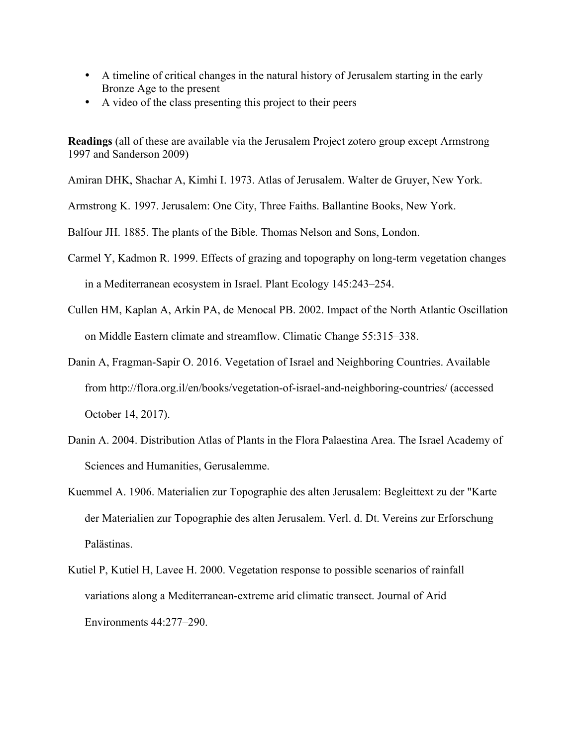- A timeline of critical changes in the natural history of Jerusalem starting in the early Bronze Age to the present
- A video of the class presenting this project to their peers

**Readings** (all of these are available via the Jerusalem Project zotero group except Armstrong 1997 and Sanderson 2009)

Amiran DHK, Shachar A, Kimhi I. 1973. Atlas of Jerusalem. Walter de Gruyer, New York.

Armstrong K. 1997. Jerusalem: One City, Three Faiths. Ballantine Books, New York.

Balfour JH. 1885. The plants of the Bible. Thomas Nelson and Sons, London.

- Carmel Y, Kadmon R. 1999. Effects of grazing and topography on long-term vegetation changes in a Mediterranean ecosystem in Israel. Plant Ecology 145:243–254.
- Cullen HM, Kaplan A, Arkin PA, de Menocal PB. 2002. Impact of the North Atlantic Oscillation on Middle Eastern climate and streamflow. Climatic Change 55:315–338.
- Danin A, Fragman-Sapir O. 2016. Vegetation of Israel and Neighboring Countries. Available from http://flora.org.il/en/books/vegetation-of-israel-and-neighboring-countries/ (accessed October 14, 2017).
- Danin A. 2004. Distribution Atlas of Plants in the Flora Palaestina Area. The Israel Academy of Sciences and Humanities, Gerusalemme.
- Kuemmel A. 1906. Materialien zur Topographie des alten Jerusalem: Begleittext zu der "Karte der Materialien zur Topographie des alten Jerusalem. Verl. d. Dt. Vereins zur Erforschung Palästinas.
- Kutiel P, Kutiel H, Lavee H. 2000. Vegetation response to possible scenarios of rainfall variations along a Mediterranean-extreme arid climatic transect. Journal of Arid Environments 44:277–290.